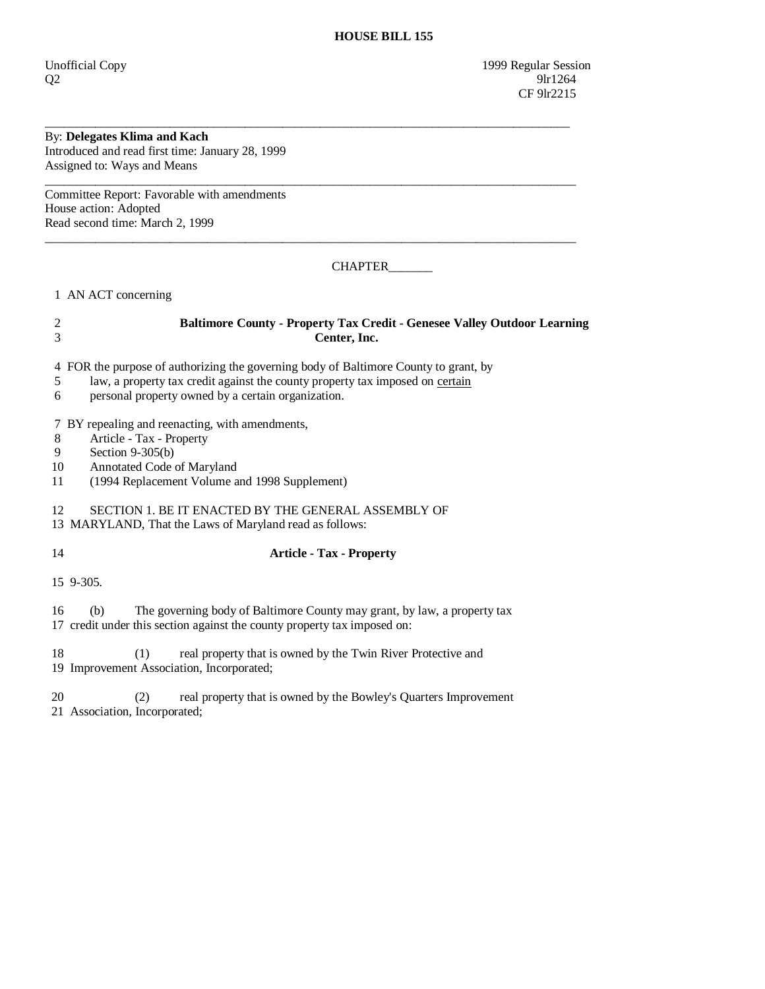Unofficial Copy 1999 Regular Session  $Q2$  9lr1264 CF 9lr2215

## By: **Delegates Klima and Kach**

Introduced and read first time: January 28, 1999 Assigned to: Ways and Means

Committee Report: Favorable with amendments House action: Adopted Read second time: March 2, 1999

CHAPTER\_\_\_\_\_\_\_

1 AN ACT concerning

## 2 **Baltimore County - Property Tax Credit - Genesee Valley Outdoor Learning**  3 **Center, Inc.**

\_\_\_\_\_\_\_\_\_\_\_\_\_\_\_\_\_\_\_\_\_\_\_\_\_\_\_\_\_\_\_\_\_\_\_\_\_\_\_\_\_\_\_\_\_\_\_\_\_\_\_\_\_\_\_\_\_\_\_\_\_\_\_\_\_\_\_\_\_\_\_\_\_\_\_\_\_\_\_\_\_\_\_\_

\_\_\_\_\_\_\_\_\_\_\_\_\_\_\_\_\_\_\_\_\_\_\_\_\_\_\_\_\_\_\_\_\_\_\_\_\_\_\_\_\_\_\_\_\_\_\_\_\_\_\_\_\_\_\_\_\_\_\_\_\_\_\_\_\_\_\_\_\_\_\_\_\_\_\_\_\_\_\_\_\_\_\_\_\_

\_\_\_\_\_\_\_\_\_\_\_\_\_\_\_\_\_\_\_\_\_\_\_\_\_\_\_\_\_\_\_\_\_\_\_\_\_\_\_\_\_\_\_\_\_\_\_\_\_\_\_\_\_\_\_\_\_\_\_\_\_\_\_\_\_\_\_\_\_\_\_\_\_\_\_\_\_\_\_\_\_\_\_\_\_

4 FOR the purpose of authorizing the governing body of Baltimore County to grant, by

- 5 law, a property tax credit against the county property tax imposed on certain
- 6 personal property owned by a certain organization.

7 BY repealing and reenacting, with amendments,

- 8 Article Tax Property<br>9 Section 9-305(b)
- 9 Section 9-305(b)<br>10 Annotated Code
- Annotated Code of Maryland
- 11 (1994 Replacement Volume and 1998 Supplement)

12 SECTION 1. BE IT ENACTED BY THE GENERAL ASSEMBLY OF

13 MARYLAND, That the Laws of Maryland read as follows:

14 **Article - Tax - Property** 

15 9-305.

 16 (b) The governing body of Baltimore County may grant, by law, a property tax 17 credit under this section against the county property tax imposed on:

18 (1) real property that is owned by the Twin River Protective and 19 Improvement Association, Incorporated;

20 (2) real property that is owned by the Bowley's Quarters Improvement 21 Association, Incorporated;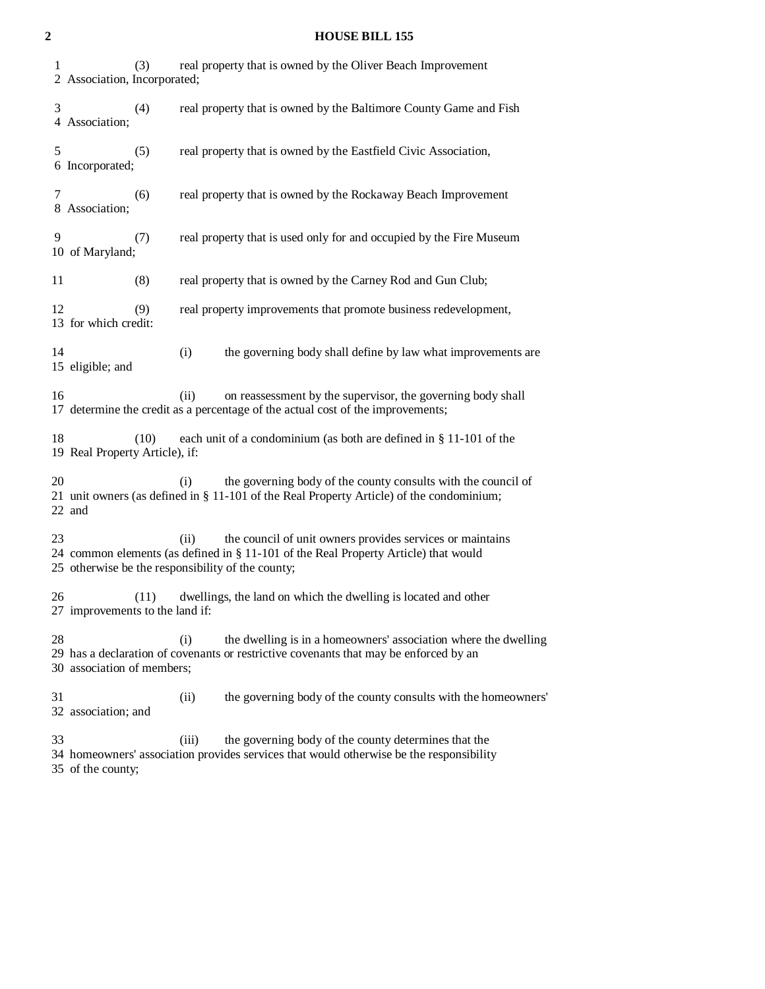| 1  | (3)<br>2 Association, Incorporated;                                                                          |       | real property that is owned by the Oliver Beach Improvement                                                                                               |  |  |  |
|----|--------------------------------------------------------------------------------------------------------------|-------|-----------------------------------------------------------------------------------------------------------------------------------------------------------|--|--|--|
| 3  | (4)<br>4 Association;                                                                                        |       | real property that is owned by the Baltimore County Game and Fish                                                                                         |  |  |  |
| 5  | (5)<br>6 Incorporated;                                                                                       |       | real property that is owned by the Eastfield Civic Association,                                                                                           |  |  |  |
| 7  | (6)<br>8 Association;                                                                                        |       | real property that is owned by the Rockaway Beach Improvement                                                                                             |  |  |  |
| 9  | (7)<br>10 of Maryland;                                                                                       |       | real property that is used only for and occupied by the Fire Museum                                                                                       |  |  |  |
| 11 | (8)                                                                                                          |       | real property that is owned by the Carney Rod and Gun Club;                                                                                               |  |  |  |
| 12 | (9)<br>13 for which credit:                                                                                  |       | real property improvements that promote business redevelopment,                                                                                           |  |  |  |
| 14 | 15 eligible; and                                                                                             | (i)   | the governing body shall define by law what improvements are                                                                                              |  |  |  |
| 16 |                                                                                                              | (ii)  | on reassessment by the supervisor, the governing body shall<br>17 determine the credit as a percentage of the actual cost of the improvements;            |  |  |  |
| 18 | each unit of a condominium (as both are defined in § 11-101 of the<br>(10)<br>19 Real Property Article), if: |       |                                                                                                                                                           |  |  |  |
| 20 | 22 and                                                                                                       | (i)   | the governing body of the county consults with the council of<br>21 unit owners (as defined in § 11-101 of the Real Property Article) of the condominium; |  |  |  |
| 23 | 25 otherwise be the responsibility of the county;                                                            | (ii)  | the council of unit owners provides services or maintains<br>24 common elements (as defined in § 11-101 of the Real Property Article) that would          |  |  |  |
| 26 | (11)<br>27 improvements to the land if:                                                                      |       | dwellings, the land on which the dwelling is located and other                                                                                            |  |  |  |
| 28 | 30 association of members;                                                                                   | (i)   | the dwelling is in a homeowners' association where the dwelling<br>29 has a declaration of covenants or restrictive covenants that may be enforced by an  |  |  |  |
| 31 | 32 association; and                                                                                          | (ii)  | the governing body of the county consults with the homeowners'                                                                                            |  |  |  |
| 33 |                                                                                                              | (iii) | the governing body of the county determines that the<br>34 homeowners' association provides services that would otherwise be the responsibility           |  |  |  |

35 of the county;